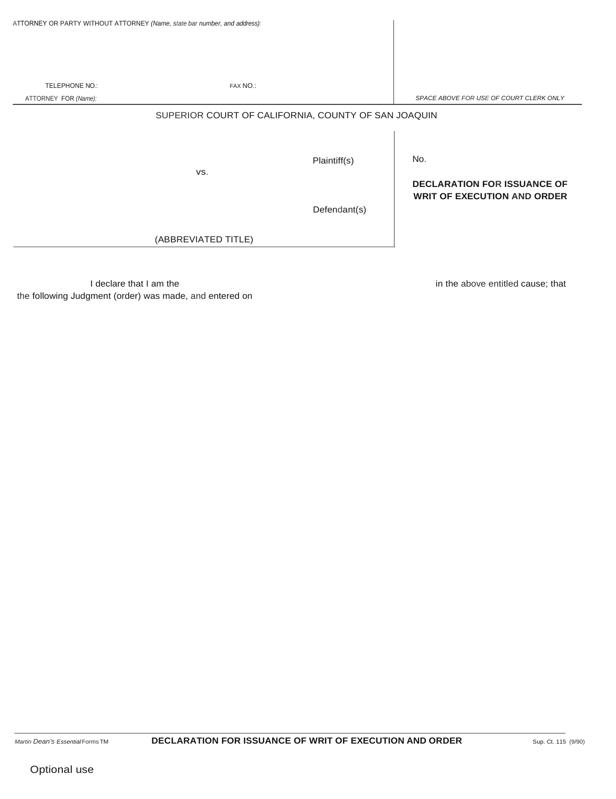|                      | ATTORNEY OR PARTY WITHOUT ATTORNEY (Name, state bar number, and address): |                              |                                                                                 |
|----------------------|---------------------------------------------------------------------------|------------------------------|---------------------------------------------------------------------------------|
|                      |                                                                           |                              |                                                                                 |
| TELEPHONE NO.:       | FAX NO.:                                                                  |                              |                                                                                 |
| ATTORNEY FOR (Name): |                                                                           |                              | SPACE ABOVE FOR USE OF COURT CLERK ONLY                                         |
|                      | SUPERIOR COURT OF CALIFORNIA, COUNTY OF SAN JOAQUIN<br>VS.                | Plaintiff(s)<br>Defendant(s) | No.<br><b>DECLARATION FOR ISSUANCE OF</b><br><b>WRIT OF EXECUTION AND ORDER</b> |
|                      | (ABBREVIATED TITLE)                                                       |                              |                                                                                 |

I declare that I am the the following Judgment (order) was made, and entered on in the above entitled cause; that